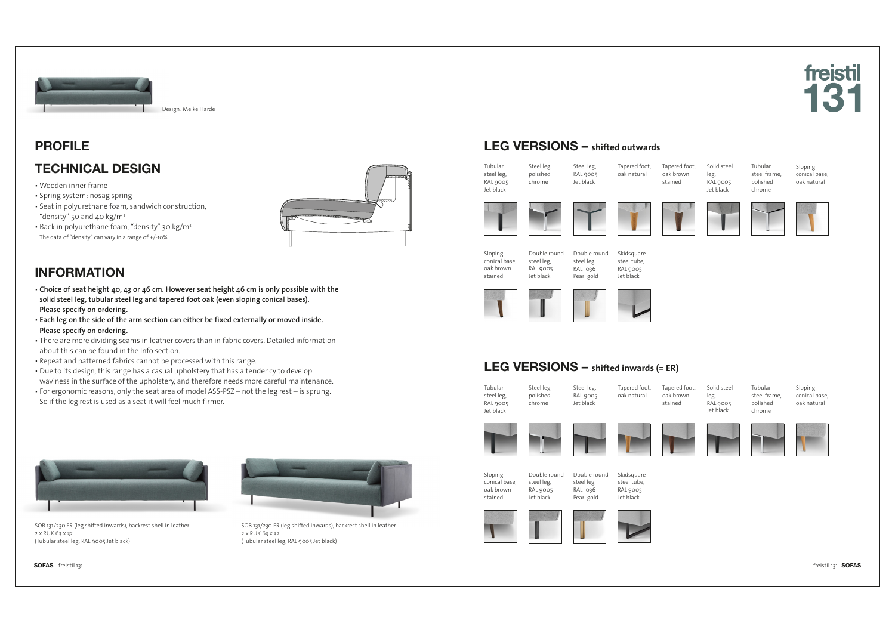



Design: Meike Harde

### PROFILE

### TECHNICAL DESIGN

- Wooden inner frame
- Spring system: nosag spring ▪ Seat in polyurethane foam, sandwich construction,
- "density" 50 and 40 kg/m3 ▪ Back in polyurethane foam, "density" 30 kg/m3 The data of "density" can vary in a range of +/-10%.



# INFORMATION

- **Choice of seat height 40, 43 or 46 cm. However seat height 46 cm is only possible with the solid steel leg, tubular steel leg and tapered foot oak (even sloping conical bases). Please specify on ordering.**
- **Each leg on the side of the arm section can either be fixed externally or moved inside. Please specify on ordering.**
- There are more dividing seams in leather covers than in fabric covers. Detailed information about this can be found in the Info section.
- Repeat and patterned fabrics cannot be processed with this range.
- . Due to its design, this range has a casual upholstery that has a tendency to develop waviness in the surface of the upholstery, and therefore needs more careful maintenance.
- For ergonomic reasons, only the seat area of model ASS-PSZ not the leg rest is sprung. So if the leg rest is used as a seat it will feel much firmer.



SOB 131/230 ER (leg shifted inwards), backrest shell in leather 2 x RUK 63 x 32 (Tubular steel leg, RAL 9005 Jet black)

SOFAS freistil 131 freistil 131 SOFAS



SOB 131/230 ER (leg shifted inwards), backrest shell in leather 2 x RUK 63 x 32 (Tubular steel leg, RAL 9005 Jet black)

### LEG VERSIONS – **shifted outwards**



### LEG VERSIONS – **shifted inwards (= ER)**

Steel leg, RAL 9005 Jet black

| Tubular    | Steel leg. |
|------------|------------|
| steel leg, | polished   |
| RAL 9005   | chrome     |
| let black  |            |
|            |            |
|            |            |

stained







Double round steel leg,  $RAI$  1036 Pearl gold





Tapered foot, oak natural



Tubular steel frame, polished chrome



Sloping conical base, oak natural



Tapered foot, oak brown stained



Solid steel leg, RAL 9005 Jet black

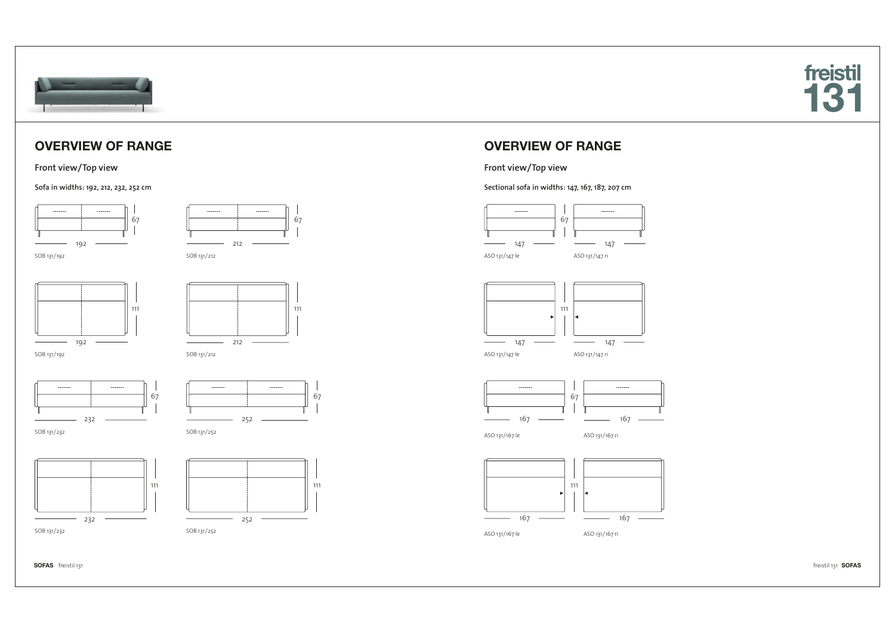

# OVERVIEW OF RANGE

#### **Front view/Top view**

**Sofa in widths: 192, 212, 232, 252 cm**









212

67

67

SOB 131/192

SOB 131/232

SOB 131/212









SOB 131/232 SOB 131/252





#### **Front view/Top view**

**Sectional sofa in widths: 147, 167, 187, 207 cm**





ASO 131/147 le



ASO 131/167 ri

ASO 131/167 le



SOFAS freistil 131 freistil 131 SOFAS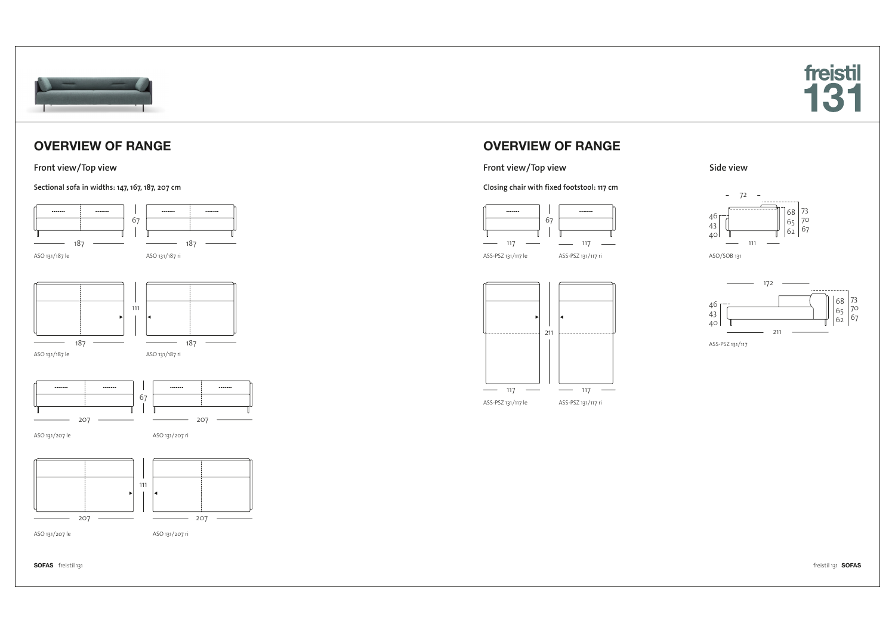



# OVERVIEW OF RANGE

### **Front view/Top view**

#### **Sectional sofa in widths: 147, 167, 187, 207 cm**



ASO 131/207 le



ASO 131/207 ri

SOFAS freistil 131 freistil 131 SOFAS

# OVERVIEW OF RANGE

#### **Front view/Top view**

#### **Closing chair with fixed footstool: 117 cm**















ASS-PSZ 131/117